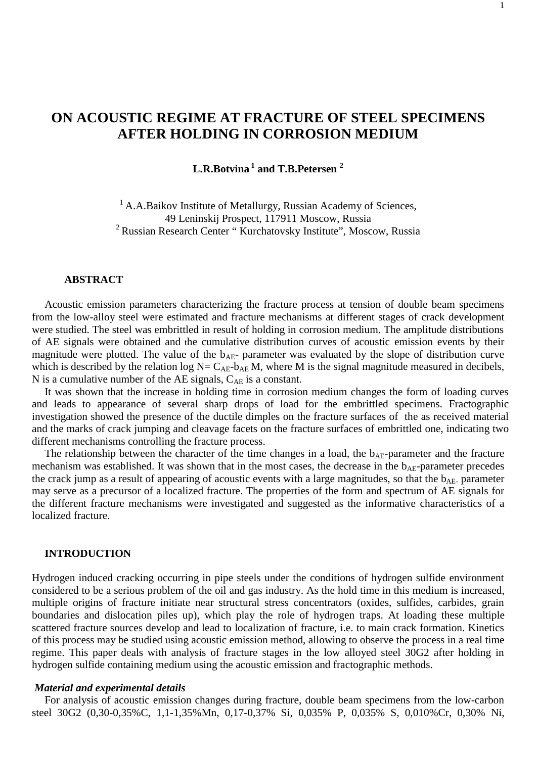# **ON ACOUSTIC REGIME AT FRACTURE OF STEEL SPECIMENS AFTER HOLDING IN CORROSION MEDIUM**

**L.R.Botvina 1 and T.B.Petersen 2**

<sup>1</sup> A.A.Baikov Institute of Metallurgy, Russian Academy of Sciences, 49 Leninskij Prospect, 117911 Moscow, Russia 2 Russian Research Center " Kurchatovsky Institute", Moscow, Russia

# **ABSTRACT**

Acoustic emission parameters characterizing the fracture process at tension of double beam specimens from the low-alloy steel were estimated and fracture mechanisms at different stages of crack development were studied. The steel was embrittled in result of holding in corrosion medium. The amplitude distributions of AE signals were obtained and the cumulative distribution curves of acoustic emission events by their magnitude were plotted. The value of the  $b_{AE}$ - parameter was evaluated by the slope of distribution curve which is described by the relation log  $N = C_{AE}$ -b<sub>AE</sub> M, where M is the signal magnitude measured in decibels, N is a cumulative number of the AE signals,  $C_{AE}$  is a constant.

It was shown that the increase in holding time in corrosion medium changes the form of loading curves and leads to appearance of several sharp drops of load for the embrittled specimens. Fractographic investigation showed the presence of the ductile dimples on the fracture surfaces of the as received material and the marks of crack jumping and cleavage facets on the fracture surfaces of embrittled one, indicating two different mechanisms controlling the fracture process.

The relationship between the character of the time changes in a load, the  $b_{AE}$ -parameter and the fracture mechanism was established. It was shown that in the most cases, the decrease in the b<sub>AE</sub>-parameter precedes the crack jump as a result of appearing of acoustic events with a large magnitudes, so that the  $b_{AF}$ - parameter may serve as a precursor of a localized fracture. The properties of the form and spectrum of AE signals for the different fracture mechanisms were investigated and suggested as the informative characteristics of a localized fracture.

# **INTRODUCTION**

Hydrogen induced cracking occurring in pipe steels under the conditions of hydrogen sulfide environment considered to be a serious problem of the oil and gas industry. As the hold time in this medium is increased, multiple origins of fracture initiate near structural stress concentrators (oxides, sulfides, carbides, grain boundaries and dislocation piles up), which play the role of hydrogen traps. At loading these multiple scattered fracture sources develop and lead to localization of fracture, i.e. to main crack formation. Kinetics of this process may be studied using acoustic emission method, allowing to observe the process in a real time regime. This paper deals with analysis of fracture stages in the low alloyed steel 30G2 after holding in hydrogen sulfide containing medium using the acoustic emission and fractographic methods.

#### *Material and experimental details*

For analysis of acoustic emission changes during fracture, double beam specimens from the low-carbon steel 30G2 (0,30-0,35%C, 1,1-1,35%Mn, 0,17-0,37% Si, 0,035% P, 0,035% S, 0,010%Cr, 0,30% Ni,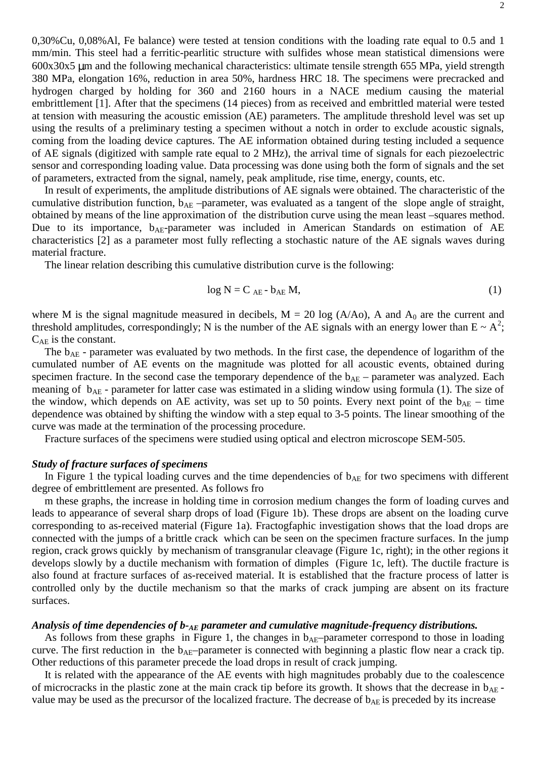0,30%Cu, 0,08%Al, Fe balance) were tested at tension conditions with the loading rate equal to 0.5 and 1 mm/min. This steel had a ferritic-pearlitic structure with sulfides whose mean statistical dimensions were 600x30x5 µm and the following mechanical characteristics: ultimate tensile strength 655 MPa, yield strength 380 MPa, elongation 16%, reduction in area 50%, hardness HRC 18. The specimens were precracked and hydrogen charged by holding for 360 and 2160 hours in a NACE medium causing the material embrittlement [1]. After that the specimens (14 pieces) from as received and embrittled material were tested at tension with measuring the acoustic emission (AE) parameters. The amplitude threshold level was set up using the results of a preliminary testing a specimen without a notch in order to exclude acoustic signals, coming from the loading device captures. The AE information obtained during testing included a sequence of AE signals (digitized with sample rate equal to 2 MHz), the arrival time of signals for each piezoelectric sensor and corresponding loading value. Data processing was done using both the form of signals and the set of parameters, extracted from the signal, namely, peak amplitude, rise time, energy, counts, etc.

In result of experiments, the amplitude distributions of AE signals were obtained. The characteristic of the cumulative distribution function,  $b_{AE}$  –parameter, was evaluated as a tangent of the slope angle of straight, obtained by means of the line approximation of the distribution curve using the mean least –squares method. Due to its importance,  $b_{AE}$ -parameter was included in American Standards on estimation of AE characteristics [2] as a parameter most fully reflecting a stochastic nature of the AE signals waves during material fracture.

The linear relation describing this cumulative distribution curve is the following:

$$
\log N = C_{AE} - b_{AE} M, \tag{1}
$$

where M is the signal magnitude measured in decibels,  $M = 20 \log (A/A<sub>o</sub>)$ , A and  $A<sub>0</sub>$  are the current and threshold amplitudes, correspondingly; N is the number of the AE signals with an energy lower than  $E \sim A^2$ ;  $C_{AF}$  is the constant.

The  $b_{AE}$  - parameter was evaluated by two methods. In the first case, the dependence of logarithm of the cumulated number of AE events on the magnitude was plotted for all acoustic events, obtained during specimen fracture. In the second case the temporary dependence of the  $b_{AE}$  – parameter was analyzed. Each meaning of  $b_{AE}$  - parameter for latter case was estimated in a sliding window using formula (1). The size of the window, which depends on AE activity, was set up to 50 points. Every next point of the  $b_{AE}$  – time dependence was obtained by shifting the window with a step equal to 3-5 points. The linear smoothing of the curve was made at the termination of the processing procedure.

Fracture surfaces of the specimens were studied using optical and electron microscope SEM-505.

## *Study of fracture surfaces of specimens*

In Figure 1 the typical loading curves and the time dependencies of  $b_{AE}$  for two specimens with different degree of embrittlement are presented. As follows fro

m these graphs, the increase in holding time in corrosion medium changes the form of loading curves and leads to appearance of several sharp drops of load (Figure 1b). These drops are absent on the loading curve corresponding to as-received material (Figure 1a). Fractogfaphic investigation shows that the load drops are connected with the jumps of a brittle crack which can be seen on the specimen fracture surfaces. In the jump region, crack grows quickly by mechanism of transgranular cleavage (Figure 1c, right); in the other regions it develops slowly by a ductile mechanism with formation of dimples (Figure 1c, left). The ductile fracture is also found at fracture surfaces of as-received material. It is established that the fracture process of latter is controlled only by the ductile mechanism so that the marks of crack jumping are absent on its fracture surfaces.

# *Analysis of time dependencies of b-AE parameter and cumulative magnitude-frequency distributions.*

As follows from these graphs in Figure 1, the changes in  $b_{AE}$ -parameter correspond to those in loading curve. The first reduction in the  $b_{AE}$ -parameter is connected with beginning a plastic flow near a crack tip. Other reductions of this parameter precede the load drops in result of crack jumping.

It is related with the appearance of the AE events with high magnitudes probably due to the coalescence of microcracks in the plastic zone at the main crack tip before its growth. It shows that the decrease in  $b_{AE}$  value may be used as the precursor of the localized fracture. The decrease of  $b_{AE}$  is preceded by its increase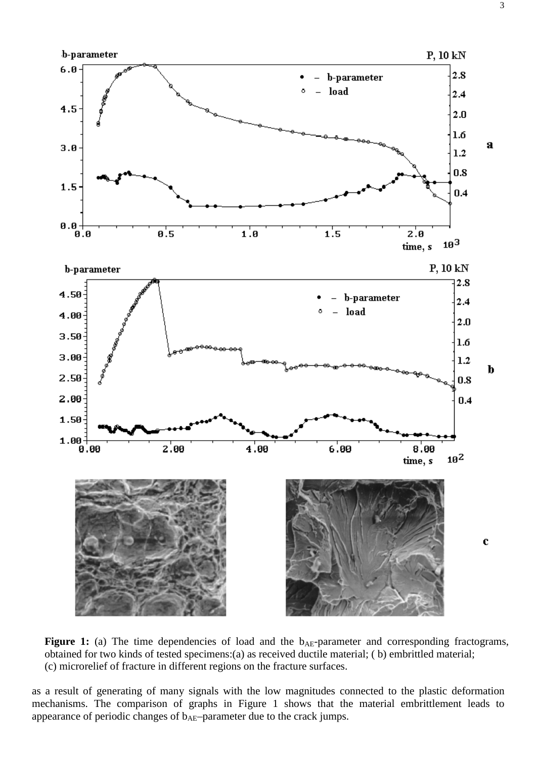

Figure 1: (a) The time dependencies of load and the b<sub>AE</sub>-parameter and corresponding fractograms, obtained for two kinds of tested specimens:(a) as received ductile material; ( b) embrittled material; (c) microrelief of fracture in different regions on the fracture surfaces.

as a result of generating of many signals with the low magnitudes connected to the plastic deformation mechanisms. The comparison of graphs in Figure 1 shows that the material embrittlement leads to appearance of periodic changes of  $b_{AE}$ –parameter due to the crack jumps.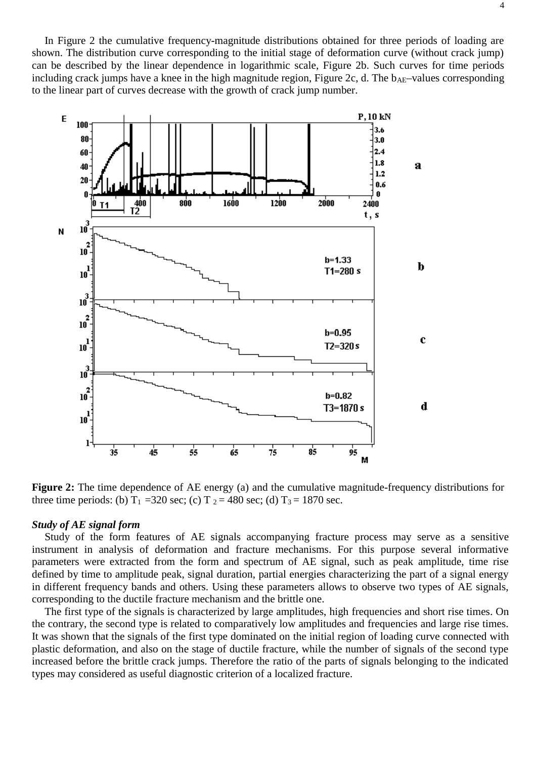In Figure 2 the cumulative frequency-magnitude distributions obtained for three periods of loading are shown. The distribution curve corresponding to the initial stage of deformation curve (without crack jump) can be described by the linear dependence in logarithmic scale, Figure 2b. Such curves for time periods including crack jumps have a knee in the high magnitude region, Figure 2c, d. The  $b_{AE}$ -values corresponding to the linear part of curves decrease with the growth of crack jump number.



**Figure 2:** The time dependence of AE energy (a) and the cumulative magnitude-frequency distributions for three time periods: (b)  $T_1 = 320$  sec; (c)  $T_2 = 480$  sec; (d)  $T_3 = 1870$  sec.

## *Study of AE signal form*

Study of the form features of AE signals accompanying fracture process may serve as a sensitive instrument in analysis of deformation and fracture mechanisms. For this purpose several informative parameters were extracted from the form and spectrum of AE signal, such as peak amplitude, time rise defined by time to amplitude peak, signal duration, partial energies characterizing the part of a signal energy in different frequency bands and others. Using these parameters allows to observe two types of AE signals, corresponding to the ductile fracture mechanism and the brittle one.

The first type of the signals is characterized by large amplitudes, high frequencies and short rise times. On the contrary, the second type is related to comparatively low amplitudes and frequencies and large rise times. It was shown that the signals of the first type dominated on the initial region of loading curve connected with plastic deformation, and also on the stage of ductile fracture, while the number of signals of the second type increased before the brittle crack jumps. Therefore the ratio of the parts of signals belonging to the indicated types may considered as useful diagnostic criterion of a localized fracture.